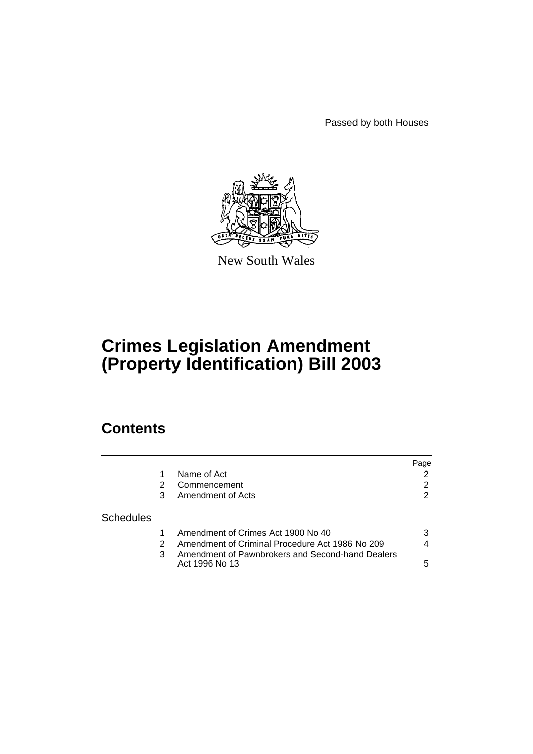Passed by both Houses



New South Wales

# **Crimes Legislation Amendment (Property Identification) Bill 2003**

# **Contents**

|                  |   |                                                                    | Page |
|------------------|---|--------------------------------------------------------------------|------|
|                  |   | Name of Act                                                        |      |
|                  |   | Commencement                                                       | 2    |
|                  | 3 | Amendment of Acts                                                  | 2    |
| <b>Schedules</b> |   |                                                                    |      |
|                  |   | Amendment of Crimes Act 1900 No 40                                 | 3    |
|                  |   | Amendment of Criminal Procedure Act 1986 No 209                    | 4    |
|                  | 3 | Amendment of Pawnbrokers and Second-hand Dealers<br>Act 1996 No 13 | 5    |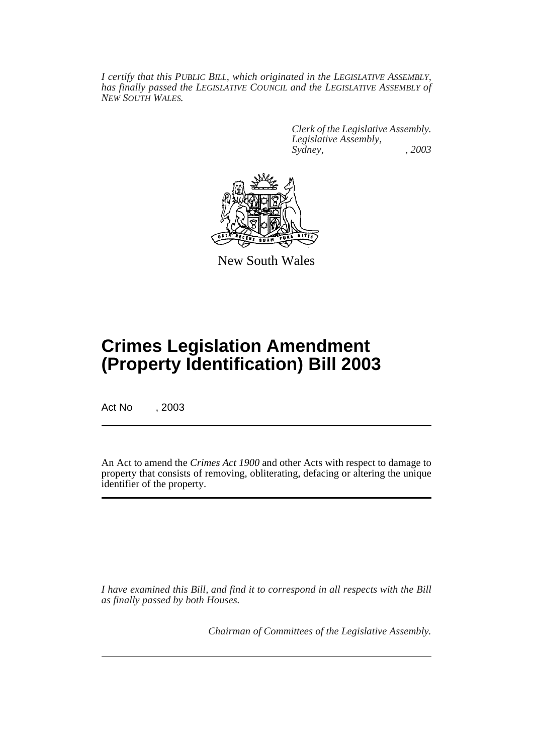*I certify that this PUBLIC BILL, which originated in the LEGISLATIVE ASSEMBLY, has finally passed the LEGISLATIVE COUNCIL and the LEGISLATIVE ASSEMBLY of NEW SOUTH WALES.*

> *Clerk of the Legislative Assembly. Legislative Assembly, Sydney, , 2003*



New South Wales

# **Crimes Legislation Amendment (Property Identification) Bill 2003**

Act No , 2003

An Act to amend the *Crimes Act 1900* and other Acts with respect to damage to property that consists of removing, obliterating, defacing or altering the unique identifier of the property.

*I have examined this Bill, and find it to correspond in all respects with the Bill as finally passed by both Houses.*

*Chairman of Committees of the Legislative Assembly.*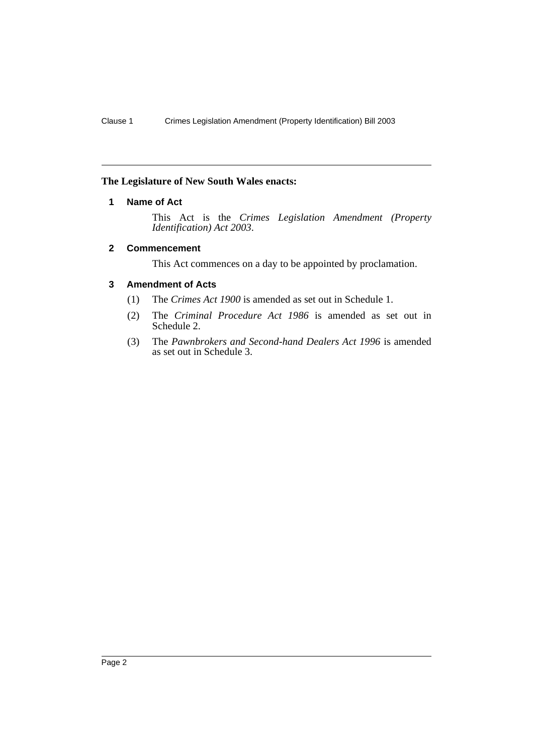## <span id="page-2-0"></span>**The Legislature of New South Wales enacts:**

### **1 Name of Act**

This Act is the *Crimes Legislation Amendment (Property Identification) Act 2003*.

#### <span id="page-2-1"></span>**2 Commencement**

This Act commences on a day to be appointed by proclamation.

#### <span id="page-2-2"></span>**3 Amendment of Acts**

- (1) The *Crimes Act 1900* is amended as set out in Schedule 1.
- (2) The *Criminal Procedure Act 1986* is amended as set out in Schedule 2.
- (3) The *Pawnbrokers and Second-hand Dealers Act 1996* is amended as set out in Schedule 3.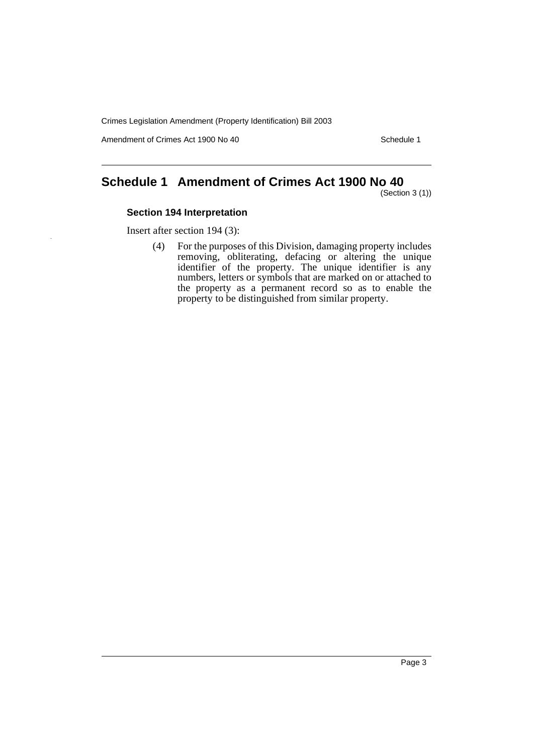Crimes Legislation Amendment (Property Identification) Bill 2003

Amendment of Crimes Act 1900 No 40 Schedule 1

# <span id="page-3-0"></span>**Schedule 1 Amendment of Crimes Act 1900 No 40**

(Section 3 (1))

## **Section 194 Interpretation**

Insert after section 194 (3):

(4) For the purposes of this Division, damaging property includes removing, obliterating, defacing or altering the unique identifier of the property. The unique identifier is any numbers, letters or symbols that are marked on or attached to the property as a permanent record so as to enable the property to be distinguished from similar property.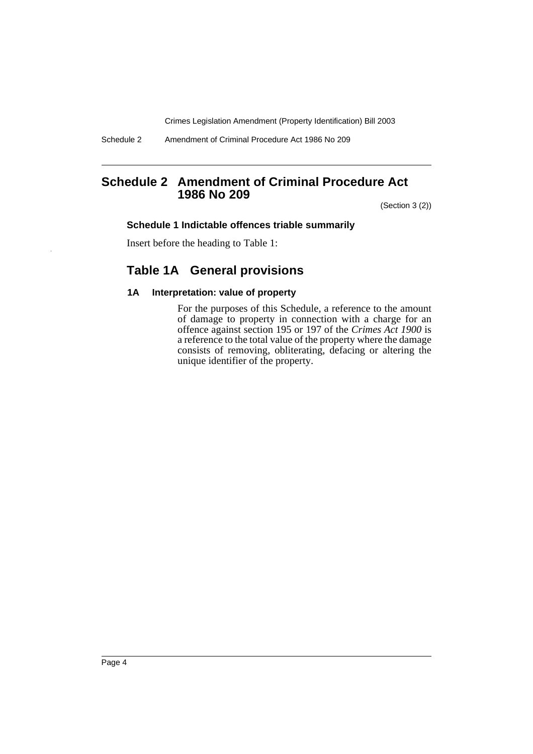Crimes Legislation Amendment (Property Identification) Bill 2003

Schedule 2 Amendment of Criminal Procedure Act 1986 No 209

## <span id="page-4-0"></span>**Schedule 2 Amendment of Criminal Procedure Act 1986 No 209**

(Section 3 (2))

#### **Schedule 1 Indictable offences triable summarily**

Insert before the heading to Table 1:

## **Table 1A General provisions**

### **1A Interpretation: value of property**

For the purposes of this Schedule, a reference to the amount of damage to property in connection with a charge for an offence against section 195 or 197 of the *Crimes Act 1900* is a reference to the total value of the property where the damage consists of removing, obliterating, defacing or altering the unique identifier of the property.